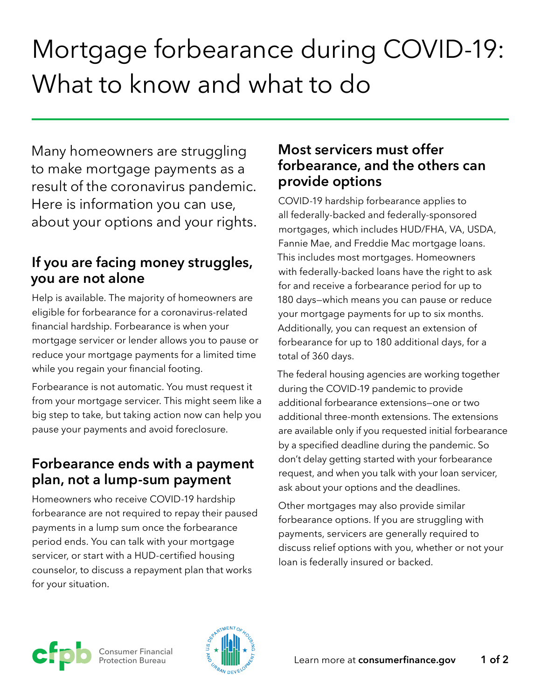# Mortgage forbearance during COVID-19: What to know and what to do

Many homeowners are struggling to make mortgage payments as a result of the coronavirus pandemic. Here is information you can use, about your options and your rights.

#### **If you are facing money struggles, you are not alone**

Help is available. The majority of homeowners are eligible for forbearance for a coronavirus-related financial hardship. Forbearance is when your mortgage servicer or lender allows you to pause or reduce your mortgage payments for a limited time while you regain your financial footing.

Forbearance is not automatic. You must request it from your mortgage servicer. This might seem like a big step to take, but taking action now can help you pause your payments and avoid foreclosure.

#### **Forbearance ends with a payment plan, not a lump-sum payment**

Homeowners who receive COVID-19 hardship forbearance are not required to repay their paused payments in a lump sum once the forbearance period ends. You can talk with your mortgage servicer, or start with a HUD-certified housing counselor, to discuss a repayment plan that works for your situation.

#### **Most servicers must offer forbearance, and the others can provide options**

COVID-19 hardship forbearance applies to all federally-backed and federally-sponsored mortgages, which includes HUD/FHA, VA, USDA, Fannie Mae, and Freddie Mac mortgage loans. This includes most mortgages. Homeowners with federally-backed loans have the right to ask for and receive a forbearance period for up to 180 days—which means you can pause or reduce your mortgage payments for up to six months. Additionally, you can request an extension of forbearance for up to 180 additional days, for a total of 360 days.

The federal housing agencies are working together during the COVID-19 pandemic to provide additional forbearance extensions—one or two additional three-month extensions. The extensions are available only if you requested initial forbearance by a specified deadline during the pandemic. So don't delay getting started with your forbearance request, and when you talk with your loan servicer, ask about your options and the deadlines.

Other mortgages may also provide similar forbearance options. If you are struggling with payments, servicers are generally required to discuss relief options with you, whether or not your loan is federally insured or backed.